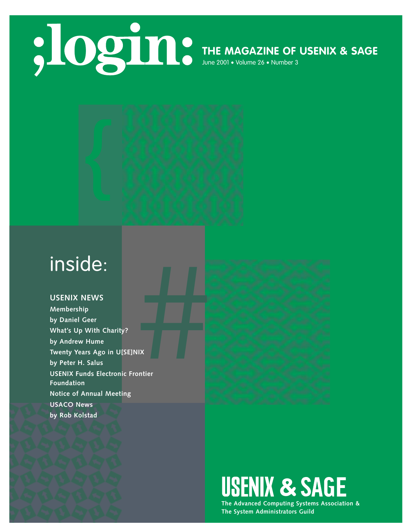### **THE MAGAZINE OF USENIX & SAGE**

June 2001 • Volume 26 • Number 3



#### **USENIX NEWS**

**Membership by Daniel Geer What's Up With Charity? by Andrew Hume Twenty Years Ago in U[SE]NIX by Peter H. Salus USENIX Funds Electronic Frontier Foundation Notice of Annual Meeting USACO News by Rob Kolstad**



## **USENIX & SAGE**

**The Advanced Computing Systems Association & The System Administrators Guild**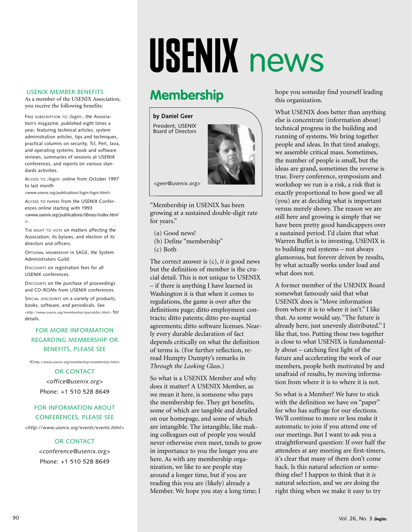# USENIX news

#### USENIX MEMBER BENEFITS

As a member of the USENIX Association, you receive the following benefits:

FREE SUBSCRIPTION TO *;login:*, the Association's magazine, published eight times a year, featuring technical articles, system administration articles, tips and techniques, practical columns on security, Tcl, Perl, Java, and operating systems, book and software reviews, summaries of sessions at USENIX conferences, and reports on various standards activities.

ACCESS TO *;login:* online from October 1997 to last month

*<www.usenix.org/publications/login/login.html>.*

ACCESS TO PAPERS from the USENIX Conferences online starting with 1993 *<www.usenix.org/publications/library/index.html*

*>*.

THE RIGHT TO VOTE on matters affecting the Association, its bylaws, and election of its directors and officers.

OPTIONAL MEMBERSHIP in SAGE, the System Administrators Guild.

DISCOUNTS on registration fees for all USENIX conferences.

DISCOUNTS on the purchase of proceedings and CD-ROMs from USENIX conferences.

SPECIAL DISCOUNTS on a variety of products, books, software, and periodicals. See *<http://www.usenix.org/membership/specialdisc.html>* for details.

#### FOR MORE INFORMATION REGARDING MEMBERSHIP OR BENEFITS, PLEASE SEE

*<http://www.usenix.org/membership/membership.html*<sup>&</sup>gt;

OR CONTACT *<office@usenix.org*> Phone: +1 510 528 8649

#### FOR INFORMATION ABOUT CONFERENCES, PLEASE SEE

*<http://www.usenix.org/events/events.html*>

#### OR CONTACT

*<conference@usenix.org*> Phone: +1 510 528 8649

## **Membership**

**by Daniel Geer** President, USENIX Board of Directors



*<geer@usenix.org>*

"Membership in USENIX has been growing at a sustained double-digit rate for years."

- (a) Good news!
- (b) Define "membership"
- (c) Both

The correct answer is (c), *it is* good news but the definition of member is the crucial detail. This is not unique to USENIX – if there is anything I have learned in Washington it is that when it comes to regulations, the game is over after the definitions page; ditto employment contracts; ditto patents; ditto pre-nuptial agreements; ditto software licenses. Nearly every durable declaration of fact depends critically on what the definition of terms is. (For further reflection, reread Humpty Dumpty's remarks in *Through the Looking Glass*.)

So what is a USENIX Member and why does it matter? A USENIX Member, as we mean it here, is someone who pays the membership fee. They get benefits, some of which are tangible and detailed on our homepage, and some of which are intangible. The intangible, like making colleagues out of people you would never otherwise even meet, tends to grow in importance to you the longer you are here. As with any membership organization, we like to see people stay around a longer time, but if you are reading this you are (likely) already a Member. We hope you stay a long time; I

hope you someday find yourself leading this organization.

What USENIX does better than anything else is concentrate (information about) technical progress in the building and running of systems. We bring together people and ideas. In that tired analogy, we assemble critical mass. Sometimes, the number of people is small, but the ideas are grand, sometimes the reverse is true. Every conference, symposium and workshop we run is a risk, a risk that is exactly proportional to how good we all (you) are at deciding what is important versus merely showy. The reason we are still here and growing is simply that we have been pretty good handicappers over a sustained period. I'd claim that what Warren Buffet is to investing, USENIX is to building real systems – not always glamorous, but forever driven by results, by what actually works under load and what does not.

A former member of the USENIX Board somewhat famously said that what USENIX does is "Move information from where it is to where it isn't." I like that. As some would say, "The future is already here, just unevenly distributed." I like that, too. Putting those two together is close to what USENIX is fundamentally about – catching first light of the future and accelerating the work of our members, people both motivated by and unafraid of results, by moving information from where it is to where it is not.

So what is a Member? We have to stick with the definition we have on "paper" for who has suffrage for our elections. We'll continue to more or less make it automatic to join if you attend one of our meetings. But I want to ask you a straightforward question: If over half the attendees at any meeting are first-timers, it's clear that many of them don't come back. Is this natural selection or something else? I happen to think that it *is* natural selection, and we *are* doing the right thing when we make it easy to try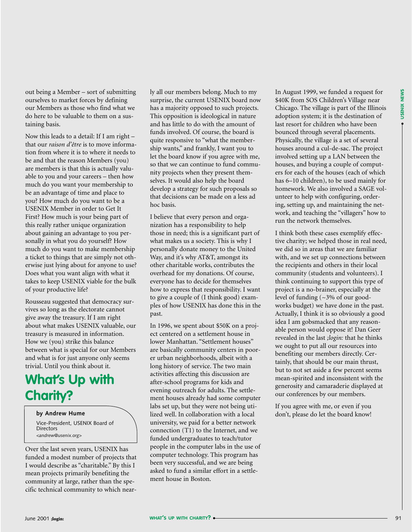out being a Member – sort of submitting ourselves to market forces by defining our Members as those who find what we do here to be valuable to them on a sustaining basis.

Now this leads to a detail: If I am right – that our *raison d'être* is to move information from where it is to where it needs to be and that the reason Members (you) are members is that this is actually valuable to you and your careers – then how much do you want your membership to be an advantage of time and place to you? How much do you want to be a USENIX Member in order to Get It First? How much is your being part of this really rather unique organization about gaining an advantage to you personally in what you do yourself? How much do you want to make membership a ticket to things that are simply not otherwise just lying about for anyone to use? Does what you want align with what it takes to keep USENIX viable for the bulk of your productive life?

Rousseau suggested that democracy survives so long as the electorate cannot give away the treasury. If I am right about what makes USENIX valuable, our treasury is measured in information. How we (you) strike this balance between what is special for our Members and what is for just anyone only seems trivial. Until you think about it.

## **What's Up with Charity?**

Vice-President, USENIX Board of **Directors** *<andrew@usenix.org>*

Over the last seven years, USENIX has funded a modest number of projects that I would describe as "charitable." By this I mean projects primarily benefiting the community at large, rather than the specific technical community to which nearly all our members belong. Much to my surprise, the current USENIX board now has a majority opposed to such projects. This opposition is ideological in nature and has little to do with the amount of funds involved. Of course, the board is quite responsive to "what the membership wants," and frankly, I want you to let the board know if you agree with me, so that we can continue to fund community projects when they present themselves. It would also help the board develop a strategy for such proposals so that decisions can be made on a less ad hoc basis.

I believe that every person and organization has a responsibility to help those in need; this is a significant part of what makes us a society. This is why I personally donate money to the United Way, and it's why AT&T, amongst its other charitable works, contributes the overhead for my donations. Of course, everyone has to decide for themselves how to express that responsibility. I want to give a couple of (I think good) examples of how USENIX has done this in the past.

In 1996, we spent about \$50K on a project centered on a settlement house in lower Manhattan. "Settlement houses" are basically community centers in poorer urban neighborhoods, albeit with a long history of service. The two main activities affecting this discussion are after-school programs for kids and evening outreach for adults. The settlement houses already had some computer labs set up, but they were not being utiby Andrew Hume **don't support of the set of the set of the collaboration** with a local don't, please do let the board know! university, we paid for a better network connection (T1) to the Internet, and we funded undergraduates to teach/tutor people in the computer labs in the use of computer technology. This program has been very successful, and we are being asked to fund a similar effort in a settlement house in Boston.

In August 1999, we funded a request for \$40K from SOS Children's Village near Chicago. The village is part of the Illinois adoption system; it is the destination of last resort for children who have been bounced through several placements. Physically, the village is a set of several houses around a cul-de-sac. The project involved setting up a LAN between the houses, and buying a couple of computers for each of the houses (each of which has 6–10 children), to be used mainly for homework. We also involved a SAGE volunteer to help with configuring, ordering, setting up, and maintaining the network, and teaching the "villagers" how to run the network themselves.

I think both these cases exemplify effective charity; we helped those in real need, we did so in areas that we are familiar with, and we set up connections between the recipients and others in their local community (students and volunteers). I think continuing to support this type of project is a no-brainer, especially at the level of funding  $(\sim 3\%$  of our goodworks budget) we have done in the past. Actually, I think it is so obviously a good idea I am gobsmacked that any reasonable person would oppose it! Dan Geer revealed in the last *;login:* that he thinks we ought to put all our resources into benefiting our members directly. Certainly, that should be our main thrust, but to not set aside a few percent seems mean-spirited and inconsistent with the generosity and camaraderie displayed at our conferences by our members.

If you agree with me, or even if you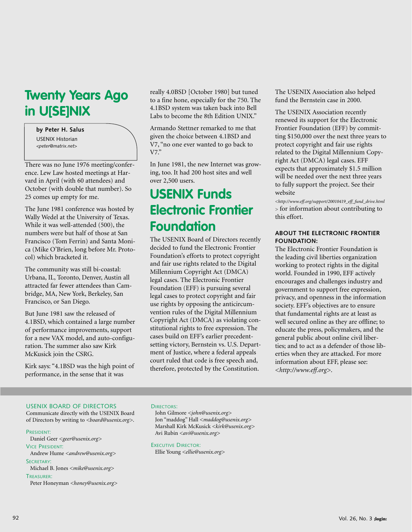## **Twenty Years Ago in U[SE]NIX**

#### **by Peter H. Salus**

USENIX Historian *<peter@matrix.net>*

There was no June 1976 meeting/conference. Lew Law hosted meetings at Harvard in April (with 60 attendees) and October (with double that number). So 25 comes up empty for me.

The June 1981 conference was hosted by Wally Wedel at the University of Texas. While it was well-attended (500), the numbers were but half of those at San Francisco (Tom Ferrin) and Santa Monica (Mike O'Brien, long before Mr. Protocol) which bracketed it.

The community was still bi-coastal: Urbana, IL, Toronto, Denver, Austin all attracted far fewer attendees than Cambridge, MA, New York, Berkeley, San Francisco, or San Diego.

But June 1981 saw the released of 4.1BSD, which contained a large number of performance improvements, support for a new VAX model, and auto-configuration. The summer also saw Kirk McKusick join the CSRG.

Kirk says: "4.1BSD was the high point of performance, in the sense that it was

really 4.0BSD [October 1980] but tuned to a fine hone, especially for the 750. The 4.1BSD system was taken back into Bell Labs to become the 8th Edition UNIX."

Armando Stettner remarked to me that given the choice between 4.1BSD and V7, "no one ever wanted to go back to V7."

In June 1981, the new Internet was growing, too. It had 200 host sites and well over 2,500 users.

## **USENIX Funds Electronic Frontier Foundation**

The USENIX Board of Directors recently decided to fund the Electronic Frontier Foundation's efforts to protect copyright and fair use rights related to the Digital Millennium Copyright Act (DMCA) legal cases. The Electronic Frontier Foundation (EFF) is pursuing several legal cases to protect copyright and fair use rights by opposing the anticircumvention rules of the Digital Millennium Copyright Act (DMCA) as violating constitutional rights to free expression. The cases build on EFF's earlier precedentsetting victory, Bernstein vs. U.S. Department of Justice, where a federal appeals court ruled that code is free speech and, therefore, protected by the Constitution.

The USENIX Association also helped fund the Bernstein case in 2000.

The USENIX Association recently renewed its support for the Electronic Frontier Foundation (EFF) by committing \$150,000 over the next three years to protect copyright and fair use rights related to the Digital Millennium Copyright Act (DMCA) legal cases. EFF expects that approximately \$1.5 million will be needed over the next three years to fully support the project. See their website

*[<http://www.eff.org/support/20010419\\_eff\\_fund\\_drive.html](http://www.eff.org/support/20010419_eff_fund_drive.html) <sup>&</sup>gt;* for information about contributing to this effort.

#### **ABOUT THE ELECTRONIC FRONTIER FOUNDATION:**

The Electronic Frontier Foundation is the leading civil liberties organization working to protect rights in the digital world. Founded in 1990, EFF actively encourages and challenges industry and government to support free expression, privacy, and openness in the information society. EFF's objectives are to ensure that fundamental rights are at least as well secured online as they are offline; to educate the press, policymakers, and the general public about online civil liberties; and to act as a defender of those liberties when they are attacked. For more information about EFF, please see: *[<http://www.eff.org>](http://www.eff.org)*.

#### USENIX BOARD OF DIRECTORS

Communicate directly with the USENIX Board of Directors by writing to *<board@usenix.org>*.

#### PRESIDENT:

Daniel Geer *<geer@usenix.org>* VICE PRESIDENT:

Andrew Hume *<andrew@usenix.org>* SECRETARY:

Michael B. Jones *<mike@usenix.org>*

#### TREASURER:

Peter Honeyman *<honey@usenix.org>*

#### DIRECTORS:

John Gilmore *<john@usenix.org>* Jon "maddog" Hall *<maddog@usenix.org>* Marshall Kirk McKusick *<kirk@usenix.org>* Avi Rubin *<avi@usenix.org>*

EXECUTIVE DIRECTOR:

Ellie Young *<ellie@usenix.org>*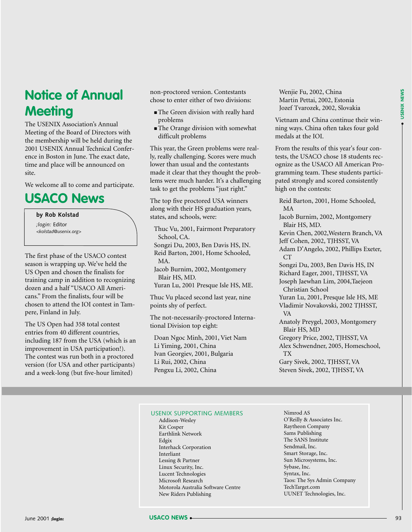## **Notice of Annual Meeting**

The USENIX Association's Annual Meeting of the Board of Directors with the membership will be held during the 2001 USENIX Annual Technical Conference in Boston in June. The exact date, time and place will be announced on site.

We welcome all to come and participate.

## **USACO News**

**by Rob Kolstad** *;login:* Editor *<kolstad@usenix.org>*

The first phase of the USACO contest season is wrapping up. We've held the US Open and chosen the finalists for training camp in addition to recognizing dozen and a half "USACO All Americans." From the finalists, four will be chosen to attend the IOI contest in Tampere, Finland in July.

The US Open had 358 total contest entries from 40 different countries, including 187 from the USA (which is an improvement in USA participation!). The contest was run both in a proctored version (for USA and other participants) and a week-long (but five-hour limited)

non-proctored version. Contestants chose to enter either of two divisions:

- The Green division with really hard problems
- The Orange division with somewhat difficult problems

This year, the Green problems were really, really challenging. Scores were much lower than usual and the contestants made it clear that they thought the problems were much harder. It's a challenging task to get the problems "just right."

The top five proctored USA winners along with their HS graduation years, states, and schools, were:

Thuc Vu, 2001, Fairmont Preparatory School, CA. Songzi Du, 2003, Ben Davis HS, IN. Reid Barton, 2001, Home Schooled, MA. Jacob Burnim, 2002, Montgomery Blair HS, MD. Yuran Lu, 2001 Presque Isle HS, ME.

Thuc Vu placed second last year, nine points shy of perfect.

The not-necessarily-proctored International Division top eight:

Doan Ngoc Minh, 2001, Viet Nam Li Yiming, 2001, China Ivan Georgiev, 2001, Bulgaria Li Rui, 2002, China Pengxu Li, 2002, China

Wenjie Fu, 2002, China Martin Pettai, 2002, Estonia Jozef Tvarozek, 2002, Slovakia

Vietnam and China continue their winning ways. China often takes four gold medals at the IOI.

From the results of this year's four contests, the USACO chose 18 students recognize as the USACO All American Programming team. These students participated strongly and scored consistently high on the contests:

Reid Barton, 2001, Home Schooled, MA Jacob Burnim, 2002, Montgomery Blair HS, MD. Kevin Chen, 2002,Western Branch, VA Jeff Cohen, 2002, TJHSST, VA Adam D'Angelo, 2002, Phillips Exeter, CT Songzi Du, 2003, Ben Davis HS, IN Richard Eager, 2001, TJHSST, VA Joseph Jaewhan Lim, 2004,Taejeon Christian School Yuran Lu, 2001, Presque Isle HS, ME Vladimir Novakovski, 2002 TJHSST, VA Anatoly Preygel, 2003, Montgomery Blair HS, MD Gregory Price, 2002, TJHSST, VA Alex Schwendner, 2005, Homeschool, TX Gary Sivek, 2002, TJHSST, VA

Steven Sivek, 2002, TJHSST, VA

#### USENIX SUPPORTING MEMBERS

- Addison-Wesley Kit Cosper Earthlink Network Edgix Interhack Corporation Interliant Lessing & Partner Linux Security, Inc. Lucent Technologies Microsoft Research Motorola Australia Software Centre New Riders Publishing
- Nimrod AS O'Reilly & Associates Inc. Raytheon Company Sams Publishing The SANS Institute Sendmail, Inc. Smart Storage, Inc. Sun Microsystems, Inc. Sybase, Inc. Syntax, Inc. Taos: The Sys Admin Company TechTarget.com UUNET Technologies, Inc.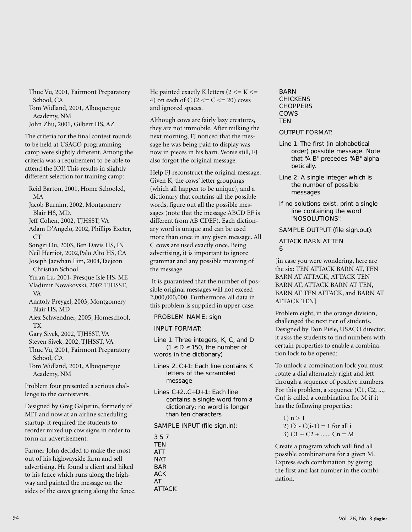Thuc Vu, 2001, Fairmont Preparatory School, CA Tom Widland, 2001, Albuquerque

Academy, NM

John Zhu, 2001, Gilbert HS, AZ

The criteria for the final contest rounds to be held at USACO programming camp were slightly different. Among the criteria was a requirement to be able to attend the IOI! This results in slightly different selection for training camp:

Reid Barton, 2001, Home Schooled, MA

Jacob Burnim, 2002, Montgomery Blair HS, MD.

Jeff Cohen, 2002, TJHSST, VA

Adam D'Angelo, 2002, Phillips Exeter, CT

Songzi Du, 2003, Ben Davis HS, IN

Neil Herriot, 2002,Palo Alto HS, CA Joseph Jaewhan Lim, 2004,Taejeon Christian School

Yuran Lu, 2001, Presque Isle HS, ME

Vladimir Novakovski, 2002 TJHSST, VA

Anatoly Preygel, 2003, Montgomery Blair HS, MD

Alex Schwendner, 2005, Homeschool, TX

Gary Sivek, 2002, TJHSST, VA

Steven Sivek, 2002, TJHSST, VA

Thuc Vu, 2001, Fairmont Preparatory School, CA

Tom Widland, 2001, Albuquerque Academy, NM

Problem four presented a serious challenge to the contestants.

Designed by Greg Galperin, formerly of MIT and now at an airline scheduling startup, it required the students to reorder mixed up cow signs in order to form an advertisement:

Farmer John decided to make the most out of his highwayside farm and sell advertising. He found a client and hiked to his fence which runs along the highway and painted the message on the sides of the cows grazing along the fence. He painted exactly K letters  $(2 \le K \le$ 4) on each of C  $(2 \leq C \leq 20)$  cows and ignored spaces.

Although cows are fairly lazy creatures, they are not immobile. After milking the next morning, FJ noticed that the message he was being paid to display was now in pieces in his barn. Worse still, FJ also forgot the original message.

Help FJ reconstruct the original message. Given K, the cows' letter groupings (which all happen to be unique), and a dictionary that contains all the possible words, figure out all the possible messages (note that the message ABCD EF is different from AB CDEF). Each dictionary word is unique and can be used more than once in any given message. All C cows are used exactly once. Being advertising, it is important to ignore grammar and any possible meaning of the message.

It is guaranteed that the number of possible original messages will not exceed 2,000,000,000. Furthermore, all data in this problem is supplied in upper-case.

PROBLEM NAME: sign

INPUT FORMAT:

Line 1: Three integers, K, C, and D  $(1 \le D \le 150)$ , the number of words in the dictionary)

Lines 2..C+1: Each line contains K letters of the scrambled message

Lines C+2..C+D+1: Each line contains a single word from a dictionary; no word is longer than ten characters

SAMPLE INPUT (file sign.in):

3 5 7 **TEN** ATT **NAT** BAR ACK AT ATTACK BARN CHICKENS CHOPPERS COWS **TFN** 

OUTPUT FORMAT:

- Line 1: The first (in alphabetical order) possible message. Note that "A B" precedes "AB" alpha betically.
- Line 2: A single integer which is the number of possible messages
- If no solutions exist, print a single line containing the word "NOSOLUTIONS".

SAMPLE OUTPUT (file sign.out):

ATTACK BARN AT TEN 6

[in case you were wondering, here are the six: TEN ATTACK BARN AT, TEN BARN AT ATTACK, ATTACK TEN BARN AT, ATTACK BARN AT TEN, BARN AT TEN ATTACK, and BARN AT ATTACK TEN]

Problem eight, in the orange division, challenged the next tier of students. Designed by Don Piele, USACO director, it asks the students to find numbers with certain properties to enable a combination lock to be opened:

To unlock a combination lock you must rotate a dial alternately right and left through a sequence of positive numbers. For this problem, a sequence (C1, C2, ..., Cn) is called a combination for M if it has the following properties:

```
1) n > 12) Ci - C(i-1) = 1 for all i
3) C1 + C2 + \dots Cn = M
```
Create a program which will find all possible combinations for a given M. Express each combination by giving the first and last number in the combination.